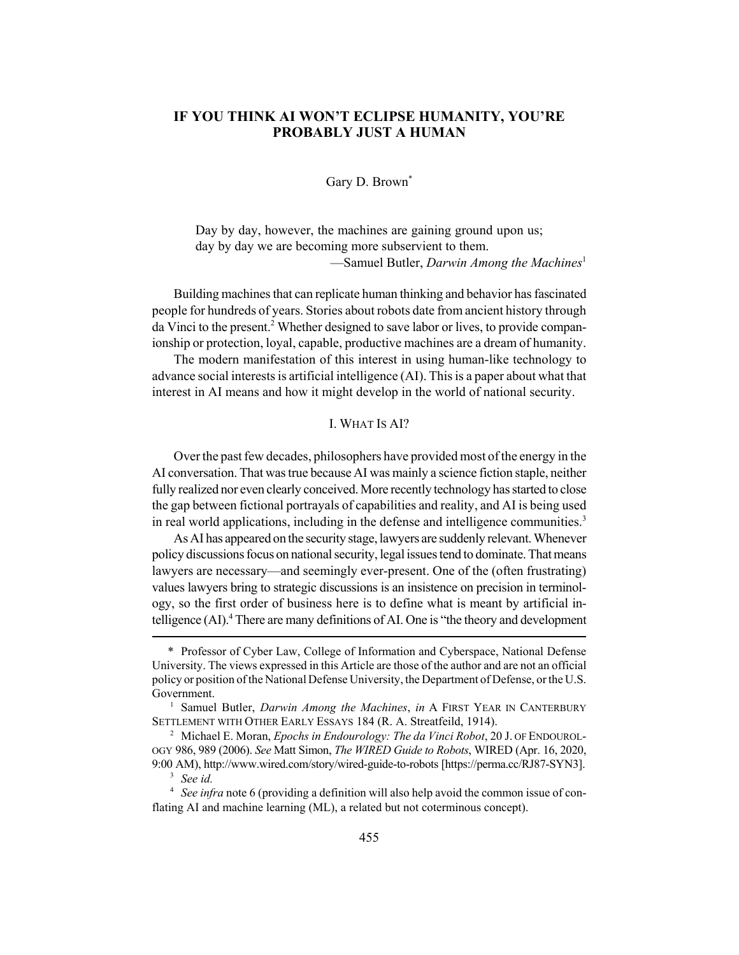# **IF YOU THINK AI WON'T ECLIPSE HUMANITY, YOU'RE PROBABLY JUST A HUMAN**

Gary D. Brown<sup>\*</sup>

Day by day, however, the machines are gaining ground upon us; day by day we are becoming more subservient to them. —Samuel Butler, *Darwin Among the Machines*<sup>1</sup>

Building machines that can replicate human thinking and behavior has fascinated people for hundreds of years. Stories about robots date from ancient history through da Vinci to the present.<sup>2</sup> Whether designed to save labor or lives, to provide companionship or protection, loyal, capable, productive machines are a dream of humanity.

The modern manifestation of this interest in using human-like technology to advance social interests is artificial intelligence (AI). This is a paper about what that interest in AI means and how it might develop in the world of national security.

# I. WHAT IS AI?

Over the past few decades, philosophers have provided most of the energy in the AI conversation. That was true because AI was mainly a science fiction staple, neither fully realized nor even clearly conceived. More recently technology has started to close the gap between fictional portrayals of capabilities and reality, and AI is being used in real world applications, including in the defense and intelligence communities.<sup>3</sup>

As AI has appeared on the security stage, lawyers are suddenly relevant. Whenever policy discussions focus on national security, legal issues tend to dominate. That means lawyers are necessary—and seemingly ever-present. One of the (often frustrating) values lawyers bring to strategic discussions is an insistence on precision in terminology, so the first order of business here is to define what is meant by artificial intelligence (AI).<sup>4</sup> There are many definitions of AI. One is "the theory and development

<sup>\*</sup> Professor of Cyber Law, College of Information and Cyberspace, National Defense University. The views expressed in this Article are those of the author and are not an official policy or position of the National Defense University, the Department of Defense, or the U.S. Government.

<sup>&</sup>lt;sup>1</sup> Samuel Butler, *Darwin Among the Machines*, *in* A FIRST YEAR IN CANTERBURY SETTLEMENT WITH OTHER EARLY ESSAYS 184 (R. A. Streatfeild, 1914).

<sup>2</sup> Michael E. Moran, *Epochs in Endourology: The da Vinci Robot*, 20 J. OF ENDOUROL-OGY 986, 989 (2006). *See* Matt Simon, *The WIRED Guide to Robots*, WIRED (Apr. 16, 2020, 9:00 AM), http://www.wired.com/story/wired-guide-to-robots [https://perma.cc/RJ87-SYN3].

<sup>3</sup> *See id.*

<sup>4</sup> *See infra* note 6 (providing a definition will also help avoid the common issue of conflating AI and machine learning (ML), a related but not coterminous concept).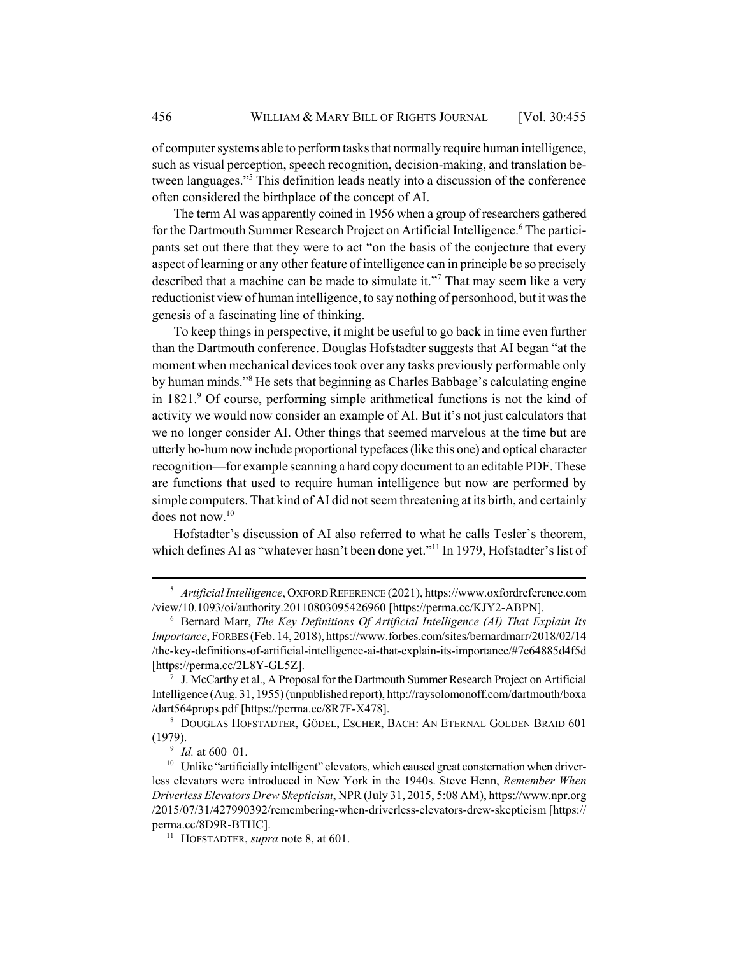of computer systems able to perform tasks that normally require human intelligence, such as visual perception, speech recognition, decision-making, and translation between languages."5 This definition leads neatly into a discussion of the conference often considered the birthplace of the concept of AI.

The term AI was apparently coined in 1956 when a group of researchers gathered for the Dartmouth Summer Research Project on Artificial Intelligence.<sup>6</sup> The participants set out there that they were to act "on the basis of the conjecture that every aspect of learning or any other feature of intelligence can in principle be so precisely described that a machine can be made to simulate it."<sup>7</sup> That may seem like a very reductionist view of human intelligence, to say nothing of personhood, but it was the genesis of a fascinating line of thinking.

To keep things in perspective, it might be useful to go back in time even further than the Dartmouth conference. Douglas Hofstadter suggests that AI began "at the moment when mechanical devices took over any tasks previously performable only by human minds."<sup>8</sup> He sets that beginning as Charles Babbage's calculating engine in 1821.<sup>9</sup> Of course, performing simple arithmetical functions is not the kind of activity we would now consider an example of AI. But it's not just calculators that we no longer consider AI. Other things that seemed marvelous at the time but are utterly ho-hum now include proportional typefaces (like this one) and optical character recognition—for example scanning a hard copy document to an editable PDF. These are functions that used to require human intelligence but now are performed by simple computers. That kind of AI did not seem threatening at its birth, and certainly does not now.10

Hofstadter's discussion of AI also referred to what he calls Tesler's theorem, which defines AI as "whatever hasn't been done yet."<sup>11</sup> In 1979, Hofstadter's list of

<sup>5</sup> *Artificial Intelligence*, OXFORD REFERENCE (2021), https://www.oxfordreference.com /view/10.1093/oi/authority.20110803095426960 [https://perma.cc/KJY2-ABPN].

<sup>6</sup> Bernard Marr, *The Key Definitions Of Artificial Intelligence (AI) That Explain Its Importance*, FORBES (Feb. 14, 2018), https://www.forbes.com/sites/bernardmarr/2018/02/14 /the-key-definitions-of-artificial-intelligence-ai-that-explain-its-importance/#7e64885d4f5d [https://perma.cc/2L8Y-GL5Z].

 $7$  J. McCarthy et al., A Proposal for the Dartmouth Summer Research Project on Artificial Intelligence (Aug. 31, 1955) (unpublished report), http://raysolomonoff.com/dartmouth/boxa /dart564props.pdf [https://perma.cc/8R7F-X478].

<sup>8</sup> DOUGLAS HOFSTADTER, GÖDEL, ESCHER, BACH: AN ETERNAL GOLDEN BRAID 601 (1979).

<sup>9</sup> *Id.* at 600–01.

 $10$  Unlike "artificially intelligent" elevators, which caused great consternation when driverless elevators were introduced in New York in the 1940s. Steve Henn, *Remember When Driverless Elevators Drew Skepticism*, NPR (July 31, 2015, 5:08 AM), https://www.npr.org /2015/07/31/427990392/remembering-when-driverless-elevators-drew-skepticism [https:// perma.cc/8D9R-BTHC].

<sup>11</sup> HOFSTADTER, *supra* note 8, at 601.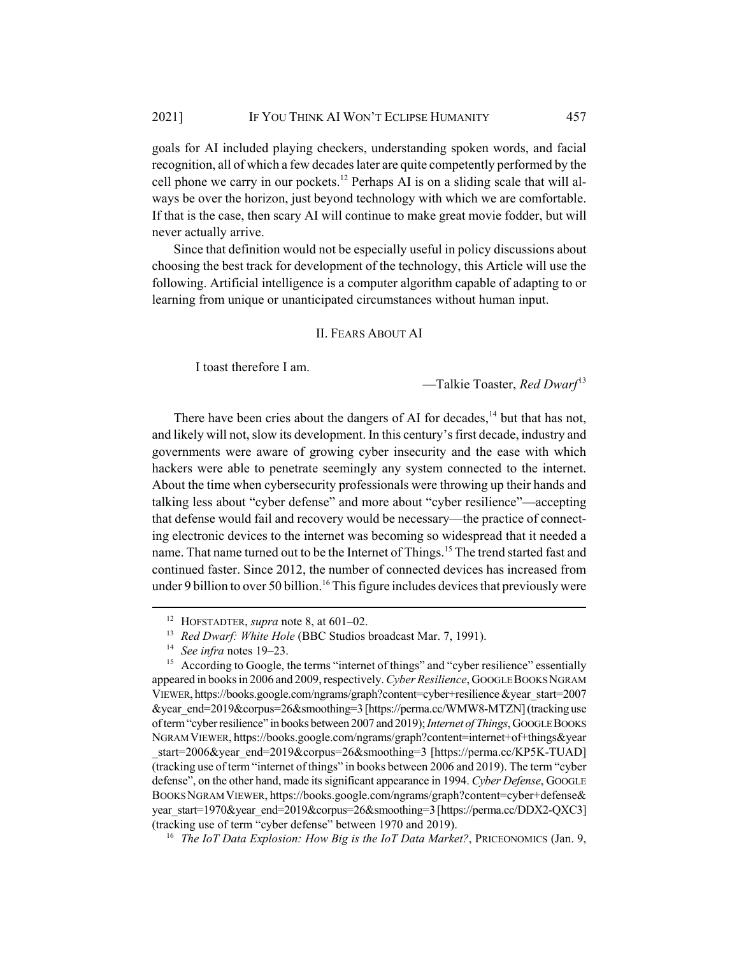goals for AI included playing checkers, understanding spoken words, and facial recognition, all of which a few decades later are quite competently performed by the cell phone we carry in our pockets.<sup>12</sup> Perhaps AI is on a sliding scale that will always be over the horizon, just beyond technology with which we are comfortable. If that is the case, then scary AI will continue to make great movie fodder, but will never actually arrive.

Since that definition would not be especially useful in policy discussions about choosing the best track for development of the technology, this Article will use the following. Artificial intelligence is a computer algorithm capable of adapting to or learning from unique or unanticipated circumstances without human input.

#### II. FEARS ABOUT AI

I toast therefore I am.

—Talkie Toaster, *Red Dwarf*<sup>13</sup>

There have been cries about the dangers of AI for decades,  $14$  but that has not, and likely will not, slow its development. In this century's first decade, industry and governments were aware of growing cyber insecurity and the ease with which hackers were able to penetrate seemingly any system connected to the internet. About the time when cybersecurity professionals were throwing up their hands and talking less about "cyber defense" and more about "cyber resilience"—accepting that defense would fail and recovery would be necessary—the practice of connecting electronic devices to the internet was becoming so widespread that it needed a name. That name turned out to be the Internet of Things.<sup>15</sup> The trend started fast and continued faster. Since 2012, the number of connected devices has increased from under 9 billion to over 50 billion.<sup>16</sup> This figure includes devices that previously were

<sup>12</sup> HOFSTADTER, *supra* note 8, at 601–02.

<sup>&</sup>lt;sup>13</sup> *Red Dwarf: White Hole* (BBC Studios broadcast Mar. 7, 1991).

<sup>14</sup> *See infra* notes 19–23.

<sup>&</sup>lt;sup>15</sup> According to Google, the terms "internet of things" and "cyber resilience" essentially appeared in books in 2006 and 2009, respectively. *Cyber Resilience*, GOOGLE BOOKS NGRAM VIEWER, https://books.google.com/ngrams/graph?content=cyber+resilience &year\_start=2007 &year\_end=2019&corpus=26&smoothing=3 [https://perma.cc/WMW8-MTZN] (tracking use of term "cyber resilience" in books between 2007 and 2019); *Internet of Things*, GOOGLE BOOKS NGRAM VIEWER, https://books.google.com/ngrams/graph?content=internet+of+things&year start=2006&year\_end=2019&corpus=26&smoothing=3 [https://perma.cc/KP5K-TUAD] (tracking use of term "internet of things" in books between 2006 and 2019). The term "cyber defense", on the other hand, made its significant appearance in 1994. *Cyber Defense*, GOOGLE BOOKS NGRAM VIEWER, https://books.google.com/ngrams/graph?content=cyber+defense& year\_start=1970&year\_end=2019&corpus=26&smoothing=3 [https://perma.cc/DDX2-QXC3] (tracking use of term "cyber defense" between 1970 and 2019).

<sup>16</sup> *The IoT Data Explosion: How Big is the IoT Data Market?*, PRICEONOMICS (Jan. 9,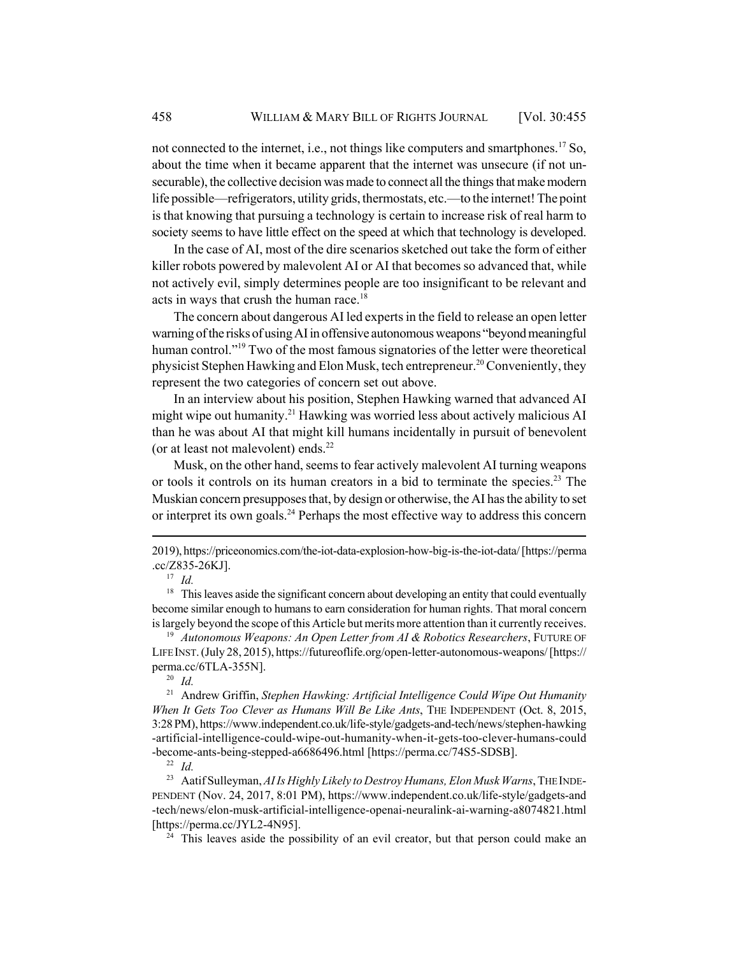not connected to the internet, i.e., not things like computers and smartphones.<sup>17</sup> So, about the time when it became apparent that the internet was unsecure (if not unsecurable), the collective decision was made to connect all the things that make modern life possible—refrigerators, utility grids, thermostats, etc.—to the internet! The point is that knowing that pursuing a technology is certain to increase risk of real harm to society seems to have little effect on the speed at which that technology is developed.

In the case of AI, most of the dire scenarios sketched out take the form of either killer robots powered by malevolent AI or AI that becomes so advanced that, while not actively evil, simply determines people are too insignificant to be relevant and acts in ways that crush the human race.<sup>18</sup>

The concern about dangerous AI led experts in the field to release an open letter warning of the risks of using AI in offensive autonomous weapons "beyond meaningful human control."<sup>19</sup> Two of the most famous signatories of the letter were theoretical physicist Stephen Hawking and Elon Musk, tech entrepreneur.20 Conveniently, they represent the two categories of concern set out above.

In an interview about his position, Stephen Hawking warned that advanced AI might wipe out humanity.<sup>21</sup> Hawking was worried less about actively malicious AI than he was about AI that might kill humans incidentally in pursuit of benevolent (or at least not malevolent) ends. $^{22}$ 

Musk, on the other hand, seems to fear actively malevolent AI turning weapons or tools it controls on its human creators in a bid to terminate the species.<sup>23</sup> The Muskian concern presupposes that, by design or otherwise, the AI has the ability to set or interpret its own goals.<sup>24</sup> Perhaps the most effective way to address this concern

<sup>18</sup> This leaves aside the significant concern about developing an entity that could eventually become similar enough to humans to earn consideration for human rights. That moral concern is largely beyond the scope of this Article but merits more attention than it currently receives.

<sup>19</sup> *Autonomous Weapons: An Open Letter from AI & Robotics Researchers*, FUTURE OF LIFE INST. (July 28, 2015), https://futureoflife.org/open-letter-autonomous-weapons/ [https:// perma.cc/6TLA-355N].

 $\frac{20}{21}$  *Id.* 

<sup>21</sup> Andrew Griffin, *Stephen Hawking: Artificial Intelligence Could Wipe Out Humanity When It Gets Too Clever as Humans Will Be Like Ants*, THE INDEPENDENT (Oct. 8, 2015, 3:28 PM), https://www.independent.co.uk/life-style/gadgets-and-tech/news/stephen-hawking -artificial-intelligence-could-wipe-out-humanity-when-it-gets-too-clever-humans-could -become-ants-being-stepped-a6686496.html [https://perma.cc/74S5-SDSB].

<sup>22</sup> *Id.*

<sup>23</sup> Aatif Sulleyman, AI Is Highly Likely to Destroy Humans, Elon Musk Warns, THE INDE-PENDENT (Nov. 24, 2017, 8:01 PM), https://www.independent.co.uk/life-style/gadgets-and -tech/news/elon-musk-artificial-intelligence-openai-neuralink-ai-warning-a8074821.html [https://perma.cc/JYL2-4N95].

 $24$  This leaves aside the possibility of an evil creator, but that person could make an

<sup>2019),</sup> https://priceonomics.com/the-iot-data-explosion-how-big-is-the-iot-data/ [https://perma .cc/Z835-26KJ].

 $\frac{17}{18}$  *Id.*<br> $\frac{18}{18}$  Thi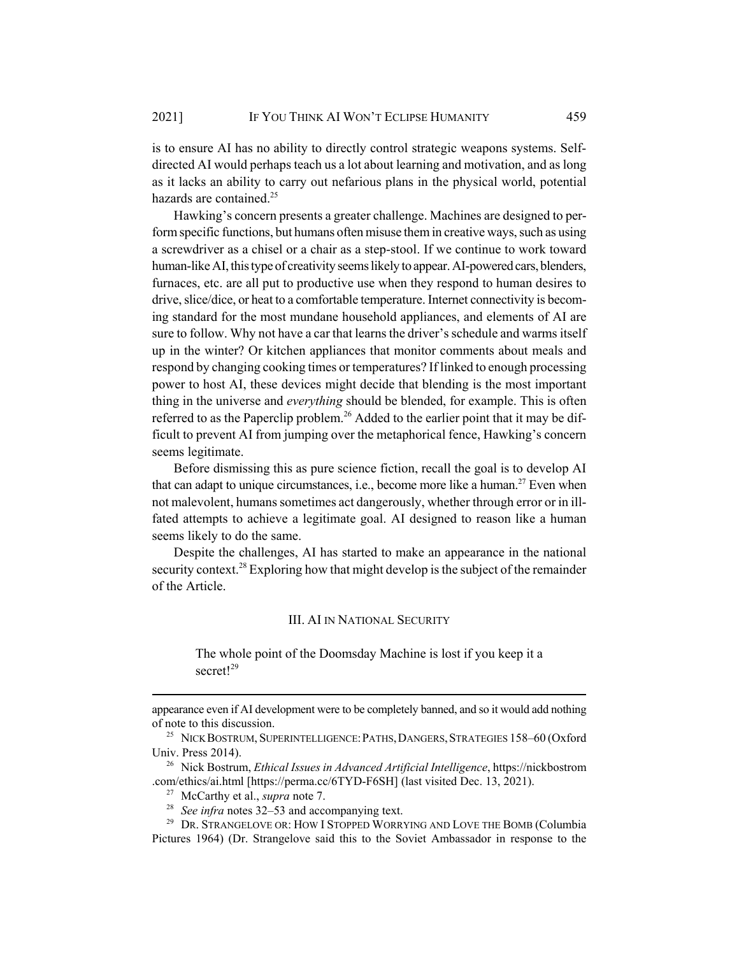is to ensure AI has no ability to directly control strategic weapons systems. Selfdirected AI would perhaps teach us a lot about learning and motivation, and as long as it lacks an ability to carry out nefarious plans in the physical world, potential hazards are contained.<sup>25</sup>

Hawking's concern presents a greater challenge. Machines are designed to perform specific functions, but humans often misuse them in creative ways, such as using a screwdriver as a chisel or a chair as a step-stool. If we continue to work toward human-like AI, this type of creativity seems likely to appear. AI-powered cars, blenders, furnaces, etc. are all put to productive use when they respond to human desires to drive, slice/dice, or heat to a comfortable temperature. Internet connectivity is becoming standard for the most mundane household appliances, and elements of AI are sure to follow. Why not have a car that learns the driver's schedule and warms itself up in the winter? Or kitchen appliances that monitor comments about meals and respond by changing cooking times or temperatures? If linked to enough processing power to host AI, these devices might decide that blending is the most important thing in the universe and *everything* should be blended, for example. This is often referred to as the Paperclip problem.<sup>26</sup> Added to the earlier point that it may be difficult to prevent AI from jumping over the metaphorical fence, Hawking's concern seems legitimate.

Before dismissing this as pure science fiction, recall the goal is to develop AI that can adapt to unique circumstances, i.e., become more like a human.<sup>27</sup> Even when not malevolent, humans sometimes act dangerously, whether through error or in illfated attempts to achieve a legitimate goal. AI designed to reason like a human seems likely to do the same.

Despite the challenges, AI has started to make an appearance in the national security context.<sup>28</sup> Exploring how that might develop is the subject of the remainder of the Article.

### III. AI IN NATIONAL SECURITY

The whole point of the Doomsday Machine is lost if you keep it a secret<sup>129</sup>

appearance even if AI development were to be completely banned, and so it would add nothing of note to this discussion.

<sup>26</sup> Nick Bostrum, *Ethical Issues in Advanced Artificial Intelligence*, https://nickbostrom .com/ethics/ai.html [https://perma.cc/6TYD-F6SH] (last visited Dec. 13, 2021).

<sup>29</sup> DR. STRANGELOVE OR: HOW I STOPPED WORRYING AND LOVE THE BOMB (Columbia Pictures 1964) (Dr. Strangelove said this to the Soviet Ambassador in response to the

<sup>&</sup>lt;sup>25</sup> NICK BOSTRUM, SUPERINTELLIGENCE: PATHS, DANGERS, STRATEGIES 158-60 (Oxford Univ. Press 2014).

<sup>27</sup> McCarthy et al., *supra* note 7.

<sup>28</sup> *See infra* notes 32–53 and accompanying text.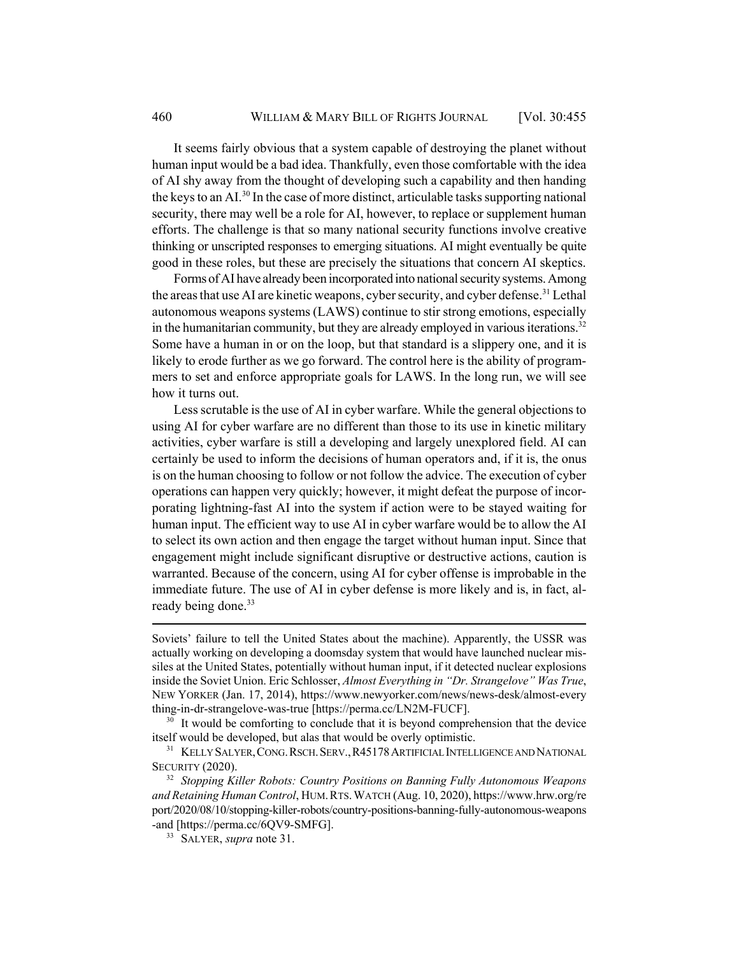It seems fairly obvious that a system capable of destroying the planet without human input would be a bad idea. Thankfully, even those comfortable with the idea of AI shy away from the thought of developing such a capability and then handing the keys to an AI.<sup>30</sup> In the case of more distinct, articulable tasks supporting national security, there may well be a role for AI, however, to replace or supplement human efforts. The challenge is that so many national security functions involve creative thinking or unscripted responses to emerging situations. AI might eventually be quite good in these roles, but these are precisely the situations that concern AI skeptics.

Forms of AI have already been incorporated into national security systems. Among the areas that use AI are kinetic weapons, cyber security, and cyber defense.<sup>31</sup> Lethal autonomous weapons systems (LAWS) continue to stir strong emotions, especially in the humanitarian community, but they are already employed in various iterations.<sup>32</sup> Some have a human in or on the loop, but that standard is a slippery one, and it is likely to erode further as we go forward. The control here is the ability of programmers to set and enforce appropriate goals for LAWS. In the long run, we will see how it turns out.

Less scrutable is the use of AI in cyber warfare. While the general objections to using AI for cyber warfare are no different than those to its use in kinetic military activities, cyber warfare is still a developing and largely unexplored field. AI can certainly be used to inform the decisions of human operators and, if it is, the onus is on the human choosing to follow or not follow the advice. The execution of cyber operations can happen very quickly; however, it might defeat the purpose of incorporating lightning-fast AI into the system if action were to be stayed waiting for human input. The efficient way to use AI in cyber warfare would be to allow the AI to select its own action and then engage the target without human input. Since that engagement might include significant disruptive or destructive actions, caution is warranted. Because of the concern, using AI for cyber offense is improbable in the immediate future. The use of AI in cyber defense is more likely and is, in fact, already being done.<sup>33</sup>

Soviets' failure to tell the United States about the machine). Apparently, the USSR was actually working on developing a doomsday system that would have launched nuclear missiles at the United States, potentially without human input, if it detected nuclear explosions inside the Soviet Union. Eric Schlosser, *Almost Everything in "Dr. Strangelove" Was True*, NEW YORKER (Jan. 17, 2014), https://www.newyorker.com/news/news-desk/almost-every thing-in-dr-strangelove-was-true [https://perma.cc/LN2M-FUCF].

 $30$  It would be comforting to conclude that it is beyond comprehension that the device itself would be developed, but alas that would be overly optimistic.

<sup>&</sup>lt;sup>31</sup> KELLY SALYER, CONG. RSCH. SERV., R45178 ARTIFICIAL INTELLIGENCE AND NATIONAL SECURITY (2020).

<sup>32</sup> *Stopping Killer Robots: Country Positions on Banning Fully Autonomous Weapons and Retaining Human Control*, HUM.RTS.WATCH (Aug. 10, 2020), https://www.hrw.org/re port/2020/08/10/stopping-killer-robots/country-positions-banning-fully-autonomous-weapons -and [https://perma.cc/6QV9-SMFG].

<sup>33</sup> SALYER, *supra* note 31.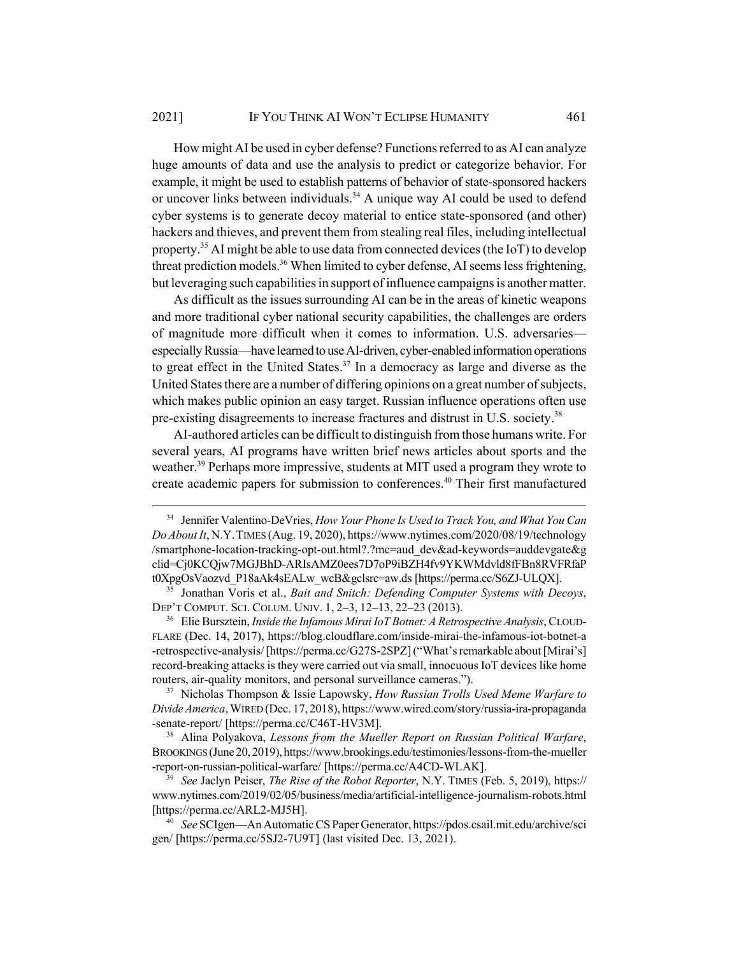How might AI be used in cyber defense? Functions referred to as AI can analyze huge amounts of data and use the analysis to predict or categorize behavior. For example, it might be used to establish patterns of behavior of state-sponsored hackers or uncover links between individuals.<sup>34</sup> A unique way AI could be used to defend cyber systems is to generate decoy material to entice state-sponsored (and other) hackers and thieves, and prevent them from stealing real files, including intellectual property.35 AI might be able to use data from connected devices (the IoT) to develop threat prediction models.<sup>36</sup> When limited to cyber defense, AI seems less frightening, but leveraging such capabilities in support of influence campaigns is another matter.

As difficult as the issues surrounding AI can be in the areas of kinetic weapons and more traditional cyber national security capabilities, the challenges are orders of magnitude more difficult when it comes to information. U.S. adversaries especially Russia—have learned to use AI-driven, cyber-enabled information operations to great effect in the United States.<sup>37</sup> In a democracy as large and diverse as the United States there are a number of differing opinions on a great number of subjects, which makes public opinion an easy target. Russian influence operations often use pre-existing disagreements to increase fractures and distrust in U.S. society.<sup>38</sup>

AI-authored articles can be difficult to distinguish from those humans write. For several years, AI programs have written brief news articles about sports and the weather.<sup>39</sup> Perhaps more impressive, students at MIT used a program they wrote to create academic papers for submission to conferences.<sup>40</sup> Their first manufactured

<sup>36</sup> Elie Bursztein, *Inside the Infamous Mirai IoT Botnet: A Retrospective Analysis*, CLOUD-FLARE (Dec. 14, 2017), https://blog.cloudflare.com/inside-mirai-the-infamous-iot-botnet-a -retrospective-analysis/ [https://perma.cc/G27S-2SPZ] ("What's remarkable about [Mirai's] record-breaking attacks is they were carried out via small, innocuous IoT devices like home routers, air-quality monitors, and personal surveillance cameras.").

<sup>37</sup> Nicholas Thompson & Issie Lapowsky, *How Russian Trolls Used Meme Warfare to Divide America*, WIRED (Dec. 17, 2018), https://www.wired.com/story/russia-ira-propaganda -senate-report/ [https://perma.cc/C46T-HV3M].

<sup>38</sup> Alina Polyakova, *Lessons from the Mueller Report on Russian Political Warfare*, BROOKINGS (June 20, 2019), https://www.brookings.edu/testimonies/lessons-from-the-mueller -report-on-russian-political-warfare/ [https://perma.cc/A4CD-WLAK].

<sup>39</sup> *See* Jaclyn Peiser, *The Rise of the Robot Reporter*, N.Y. TIMES (Feb. 5, 2019), https:// www.nytimes.com/2019/02/05/business/media/artificial-intelligence-journalism-robots.html [https://perma.cc/ARL2-MJ5H].

<sup>34</sup> Jennifer Valentino-DeVries, *How Your Phone Is Used to Track You, and What You Can Do About It*, N.Y.TIMES (Aug. 19, 2020), https://www.nytimes.com/2020/08/19/technology /smartphone-location-tracking-opt-out.html?.?mc=aud\_dev&ad-keywords=auddevgate&g clid=Cj0KCQjw7MGJBhD-ARIsAMZ0ees7D7oP9iBZH4fv9YKWMdvld8fFBn8RVFRfaP t0XpgOsVaozvd\_P18aAk4sEALw\_wcB&gclsrc=aw.ds [https://perma.cc/S6ZJ-ULQX].

<sup>35</sup> Jonathan Voris et al., *Bait and Snitch: Defending Computer Systems with Decoys*, DEP'T COMPUT. SCI. COLUM. UNIV. 1, 2–3, 12–13, 22–23 (2013).

<sup>40</sup> *See* SCIgen—An Automatic CS Paper Generator, https://pdos.csail.mit.edu/archive/sci gen/ [https://perma.cc/5SJ2-7U9T] (last visited Dec. 13, 2021).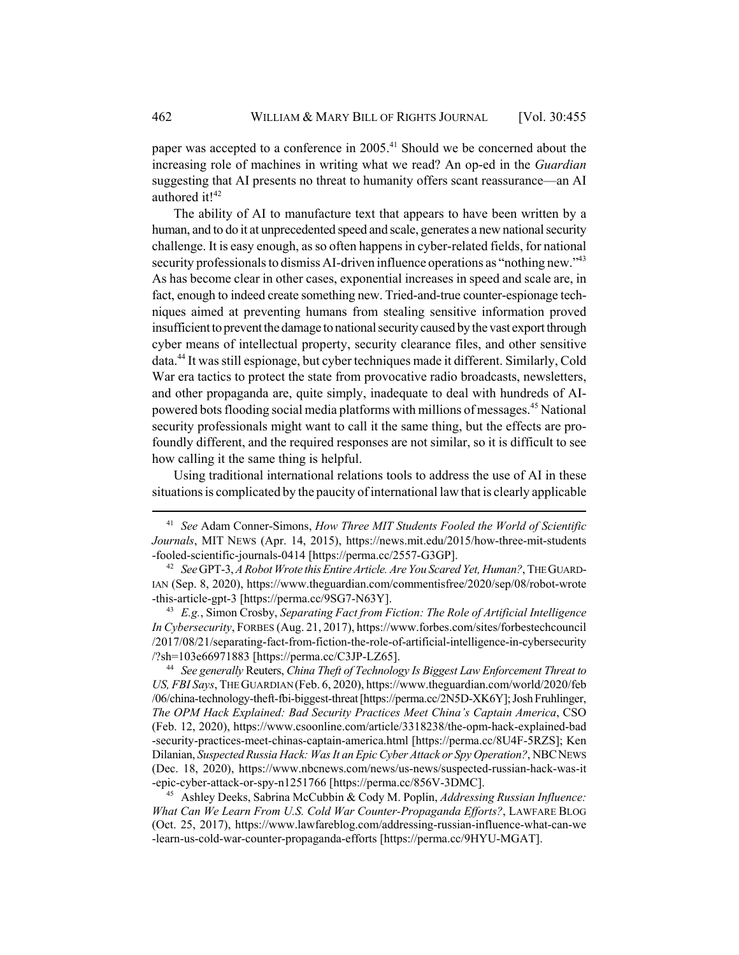paper was accepted to a conference in  $2005<sup>41</sup>$  Should we be concerned about the increasing role of machines in writing what we read? An op-ed in the *Guardian* suggesting that AI presents no threat to humanity offers scant reassurance—an AI authored it!<sup>42</sup>

The ability of AI to manufacture text that appears to have been written by a human, and to do it at unprecedented speed and scale, generates a new national security challenge. It is easy enough, as so often happens in cyber-related fields, for national security professionals to dismiss AI-driven influence operations as "nothing new."<sup>43</sup> As has become clear in other cases, exponential increases in speed and scale are, in fact, enough to indeed create something new. Tried-and-true counter-espionage techniques aimed at preventing humans from stealing sensitive information proved insufficient to prevent the damage to national security caused by the vast export through cyber means of intellectual property, security clearance files, and other sensitive data.<sup>44</sup> It was still espionage, but cyber techniques made it different. Similarly, Cold War era tactics to protect the state from provocative radio broadcasts, newsletters, and other propaganda are, quite simply, inadequate to deal with hundreds of AIpowered bots flooding social media platforms with millions of messages.45 National security professionals might want to call it the same thing, but the effects are profoundly different, and the required responses are not similar, so it is difficult to see how calling it the same thing is helpful.

Using traditional international relations tools to address the use of AI in these situations is complicated by the paucity of international law that is clearly applicable

<sup>43</sup> *E.g.*, Simon Crosby, *Separating Fact from Fiction: The Role of Artificial Intelligence In Cybersecurity*, FORBES (Aug. 21, 2017), https://www.forbes.com/sites/forbestechcouncil /2017/08/21/separating-fact-from-fiction-the-role-of-artificial-intelligence-in-cybersecurity /?sh=103e66971883 [https://perma.cc/C3JP-LZ65].

<sup>44</sup> *See generally* Reuters, *China Theft of Technology Is Biggest Law Enforcement Threat to US, FBI Says*, THE GUARDIAN (Feb. 6, 2020), https://www.theguardian.com/world/2020/feb /06/china-technology-theft-fbi-biggest-threat [https://perma.cc/2N5D-XK6Y]; Josh Fruhlinger, *The OPM Hack Explained: Bad Security Practices Meet China's Captain America*, CSO (Feb. 12, 2020), https://www.csoonline.com/article/3318238/the-opm-hack-explained-bad -security-practices-meet-chinas-captain-america.html [https://perma.cc/8U4F-5RZS]; Ken Dilanian, *Suspected Russia Hack: Was It an Epic Cyber Attack or Spy Operation?*, NBCNEWS (Dec. 18, 2020), https://www.nbcnews.com/news/us-news/suspected-russian-hack-was-it -epic-cyber-attack-or-spy-n1251766 [https://perma.cc/856V-3DMC].

<sup>45</sup> Ashley Deeks, Sabrina McCubbin & Cody M. Poplin, *Addressing Russian Influence: What Can We Learn From U.S. Cold War Counter-Propaganda Efforts?*, LAWFARE BLOG (Oct. 25, 2017), https://www.lawfareblog.com/addressing-russian-influence-what-can-we -learn-us-cold-war-counter-propaganda-efforts [https://perma.cc/9HYU-MGAT].

<sup>41</sup> *See* Adam Conner-Simons, *How Three MIT Students Fooled the World of Scientific Journals*, MIT NEWS (Apr. 14, 2015), https://news.mit.edu/2015/how-three-mit-students -fooled-scientific-journals-0414 [https://perma.cc/2557-G3GP].

<sup>42</sup> *See* GPT-3, *A Robot Wrote this Entire Article. Are You Scared Yet, Human?*, THE GUARD-IAN (Sep. 8, 2020), https://www.theguardian.com/commentisfree/2020/sep/08/robot-wrote -this-article-gpt-3 [https://perma.cc/9SG7-N63Y].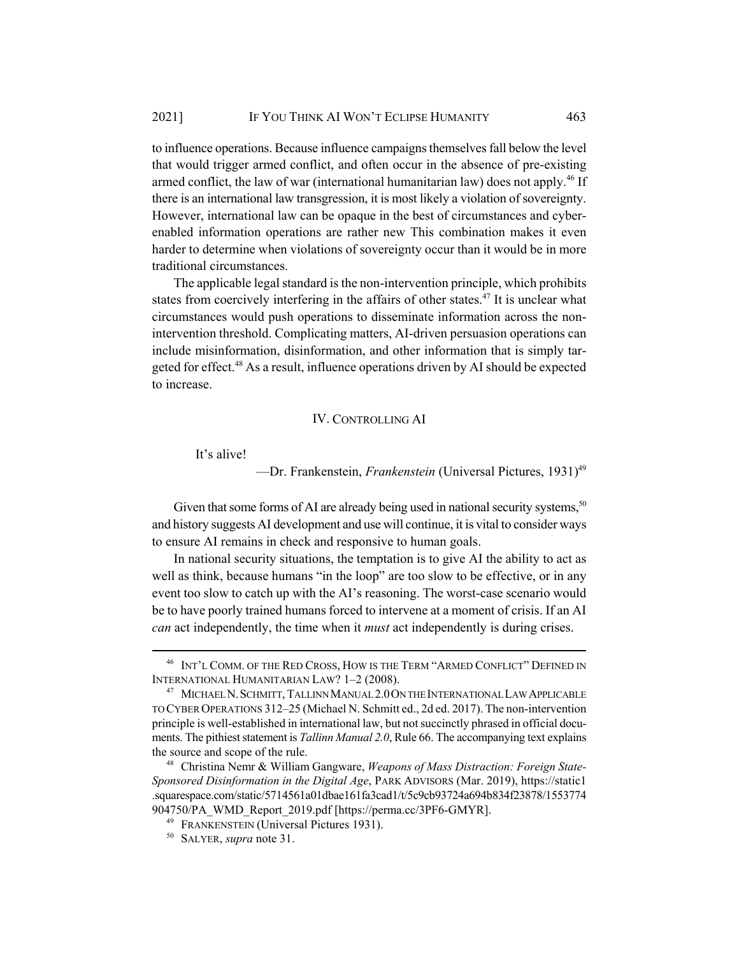to influence operations. Because influence campaigns themselves fall below the level that would trigger armed conflict, and often occur in the absence of pre-existing armed conflict, the law of war (international humanitarian law) does not apply.<sup>46</sup> If there is an international law transgression, it is most likely a violation of sovereignty. However, international law can be opaque in the best of circumstances and cyberenabled information operations are rather new This combination makes it even harder to determine when violations of sovereignty occur than it would be in more traditional circumstances.

The applicable legal standard is the non-intervention principle, which prohibits states from coercively interfering in the affairs of other states.47 It is unclear what circumstances would push operations to disseminate information across the nonintervention threshold. Complicating matters, AI-driven persuasion operations can include misinformation, disinformation, and other information that is simply targeted for effect.<sup>48</sup> As a result, influence operations driven by AI should be expected to increase.

# IV. CONTROLLING AI

It's alive!

—Dr. Frankenstein, *Frankenstein* (Universal Pictures, 1931)<sup>49</sup>

Given that some forms of AI are already being used in national security systems,<sup>50</sup> and history suggests AI development and use will continue, it is vital to consider ways to ensure AI remains in check and responsive to human goals.

In national security situations, the temptation is to give AI the ability to act as well as think, because humans "in the loop" are too slow to be effective, or in any event too slow to catch up with the AI's reasoning. The worst-case scenario would be to have poorly trained humans forced to intervene at a moment of crisis. If an AI *can* act independently, the time when it *must* act independently is during crises.

<sup>46</sup> INT'L COMM. OF THE RED CROSS, HOW IS THE TERM "ARMED CONFLICT" DEFINED IN INTERNATIONAL HUMANITARIAN LAW? 1–2 (2008).

<sup>47</sup> MICHAEL N.SCHMITT, TALLINN MANUAL 2.0ON THE INTERNATIONAL LAW APPLICABLE TO CYBER OPERATIONS 312–25 (Michael N. Schmitt ed., 2d ed. 2017). The non-intervention principle is well-established in international law, but not succinctly phrased in official documents. The pithiest statement is *Tallinn Manual 2.0*, Rule 66. The accompanying text explains the source and scope of the rule.

<sup>48</sup> Christina Nemr & William Gangware, *Weapons of Mass Distraction: Foreign State-Sponsored Disinformation in the Digital Age*, PARK ADVISORS (Mar. 2019), https://static1 .squarespace.com/static/5714561a01dbae161fa3cad1/t/5c9cb93724a694b834f23878/1553774 904750/PA\_WMD\_Report\_2019.pdf [https://perma.cc/3PF6-GMYR].

<sup>&</sup>lt;sup>49</sup> FRANKENSTEIN (Universal Pictures 1931).

<sup>50</sup> SALYER, *supra* note 31.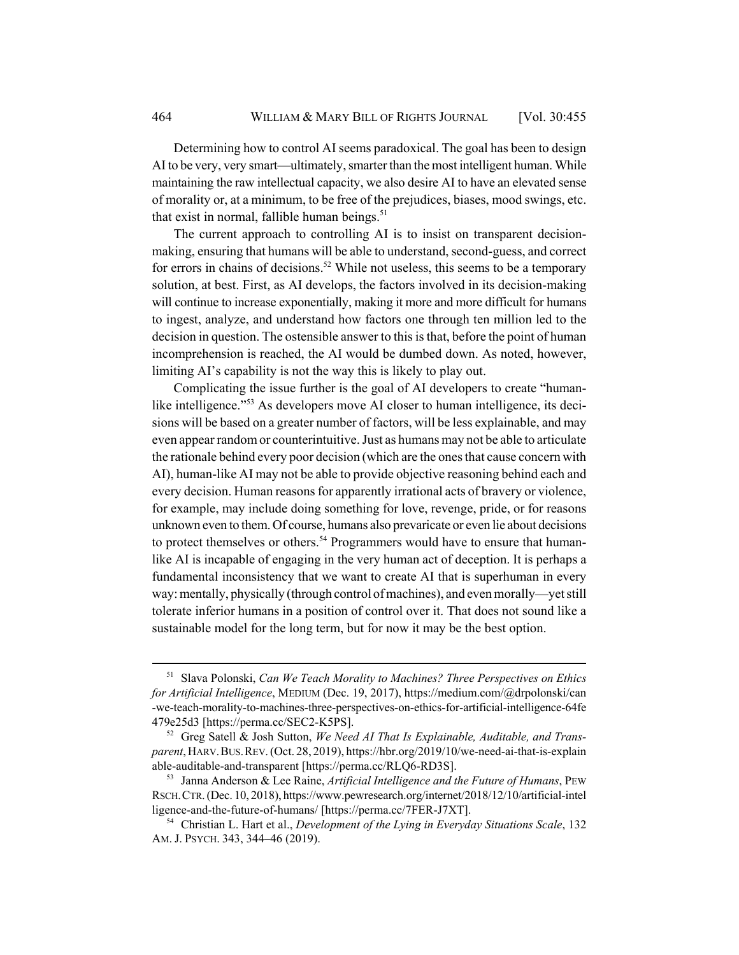Determining how to control AI seems paradoxical. The goal has been to design AI to be very, very smart—ultimately, smarter than the most intelligent human. While maintaining the raw intellectual capacity, we also desire AI to have an elevated sense of morality or, at a minimum, to be free of the prejudices, biases, mood swings, etc. that exist in normal, fallible human beings. $51$ 

The current approach to controlling AI is to insist on transparent decisionmaking, ensuring that humans will be able to understand, second-guess, and correct for errors in chains of decisions.<sup>52</sup> While not useless, this seems to be a temporary solution, at best. First, as AI develops, the factors involved in its decision-making will continue to increase exponentially, making it more and more difficult for humans to ingest, analyze, and understand how factors one through ten million led to the decision in question. The ostensible answer to this is that, before the point of human incomprehension is reached, the AI would be dumbed down. As noted, however, limiting AI's capability is not the way this is likely to play out.

Complicating the issue further is the goal of AI developers to create "humanlike intelligence."<sup>53</sup> As developers move AI closer to human intelligence, its decisions will be based on a greater number of factors, will be less explainable, and may even appear random or counterintuitive. Just as humans may not be able to articulate the rationale behind every poor decision (which are the ones that cause concern with AI), human-like AI may not be able to provide objective reasoning behind each and every decision. Human reasons for apparently irrational acts of bravery or violence, for example, may include doing something for love, revenge, pride, or for reasons unknown even to them. Of course, humans also prevaricate or even lie about decisions to protect themselves or others.<sup>54</sup> Programmers would have to ensure that humanlike AI is incapable of engaging in the very human act of deception. It is perhaps a fundamental inconsistency that we want to create AI that is superhuman in every way: mentally, physically (through control of machines), and even morally—yet still tolerate inferior humans in a position of control over it. That does not sound like a sustainable model for the long term, but for now it may be the best option.

<sup>51</sup> Slava Polonski, *Can We Teach Morality to Machines? Three Perspectives on Ethics for Artificial Intelligence*, MEDIUM (Dec. 19, 2017), https://medium.com/@drpolonski/can -we-teach-morality-to-machines-three-perspectives-on-ethics-for-artificial-intelligence-64fe 479e25d3 [https://perma.cc/SEC2-K5PS].

<sup>52</sup> Greg Satell & Josh Sutton, *We Need AI That Is Explainable, Auditable, and Transparent*, HARV.BUS.REV. (Oct. 28, 2019), https://hbr.org/2019/10/we-need-ai-that-is-explain able-auditable-and-transparent [https://perma.cc/RLQ6-RD3S].

<sup>53</sup> Janna Anderson & Lee Raine, *Artificial Intelligence and the Future of Humans*, PEW RSCH.CTR. (Dec. 10, 2018), https://www.pewresearch.org/internet/2018/12/10/artificial-intel ligence-and-the-future-of-humans/ [https://perma.cc/7FER-J7XT].

<sup>54</sup> Christian L. Hart et al., *Development of the Lying in Everyday Situations Scale*, 132 AM. J. PSYCH. 343, 344–46 (2019).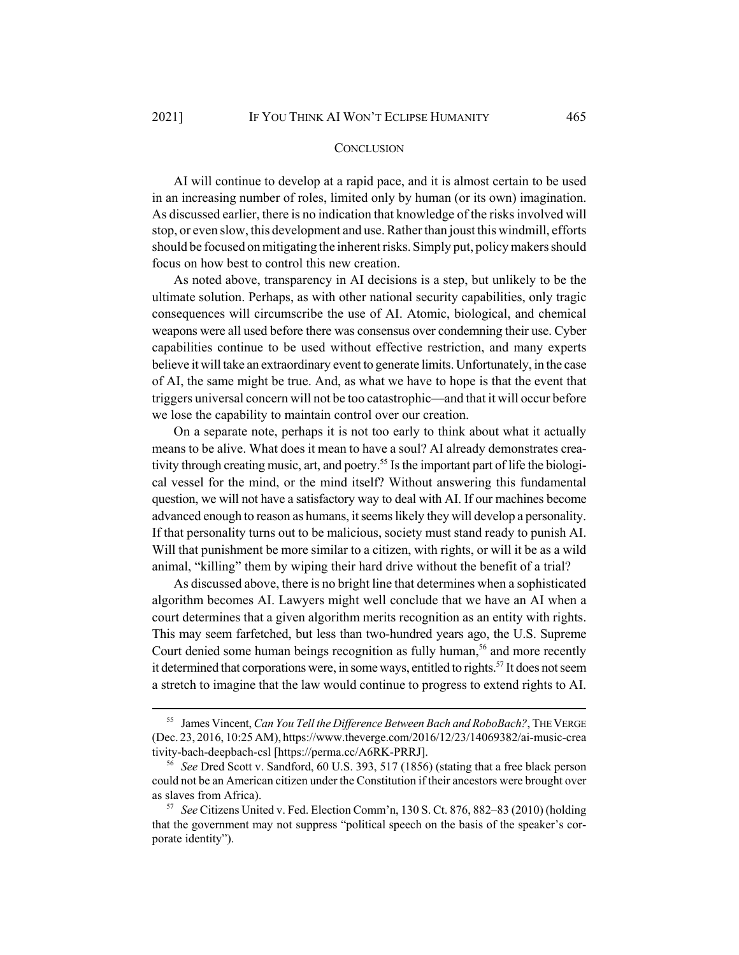## **CONCLUSION**

AI will continue to develop at a rapid pace, and it is almost certain to be used in an increasing number of roles, limited only by human (or its own) imagination. As discussed earlier, there is no indication that knowledge of the risks involved will stop, or even slow, this development and use. Rather than joust this windmill, efforts should be focused on mitigating the inherent risks. Simply put, policy makers should focus on how best to control this new creation.

As noted above, transparency in AI decisions is a step, but unlikely to be the ultimate solution. Perhaps, as with other national security capabilities, only tragic consequences will circumscribe the use of AI. Atomic, biological, and chemical weapons were all used before there was consensus over condemning their use. Cyber capabilities continue to be used without effective restriction, and many experts believe it will take an extraordinary event to generate limits. Unfortunately, in the case of AI, the same might be true. And, as what we have to hope is that the event that triggers universal concern will not be too catastrophic—and that it will occur before we lose the capability to maintain control over our creation.

On a separate note, perhaps it is not too early to think about what it actually means to be alive. What does it mean to have a soul? AI already demonstrates creativity through creating music, art, and poetry.<sup>55</sup> Is the important part of life the biological vessel for the mind, or the mind itself? Without answering this fundamental question, we will not have a satisfactory way to deal with AI. If our machines become advanced enough to reason as humans, it seems likely they will develop a personality. If that personality turns out to be malicious, society must stand ready to punish AI. Will that punishment be more similar to a citizen, with rights, or will it be as a wild animal, "killing" them by wiping their hard drive without the benefit of a trial?

As discussed above, there is no bright line that determines when a sophisticated algorithm becomes AI. Lawyers might well conclude that we have an AI when a court determines that a given algorithm merits recognition as an entity with rights. This may seem farfetched, but less than two-hundred years ago, the U.S. Supreme Court denied some human beings recognition as fully human,<sup>56</sup> and more recently it determined that corporations were, in some ways, entitled to rights.<sup>57</sup> It does not seem a stretch to imagine that the law would continue to progress to extend rights to AI.

<sup>55</sup> James Vincent, *Can You Tell the Difference Between Bach and RoboBach?*, THE VERGE (Dec. 23, 2016, 10:25 AM), https://www.theverge.com/2016/12/23/14069382/ai-music-crea tivity-bach-deepbach-csl [https://perma.cc/A6RK-PRRJ].

<sup>56</sup> *See* Dred Scott v. Sandford, 60 U.S. 393, 517 (1856) (stating that a free black person could not be an American citizen under the Constitution if their ancestors were brought over as slaves from Africa).

<sup>57</sup> *See* Citizens United v. Fed. Election Comm'n, 130 S. Ct. 876, 882–83 (2010) (holding that the government may not suppress "political speech on the basis of the speaker's corporate identity").